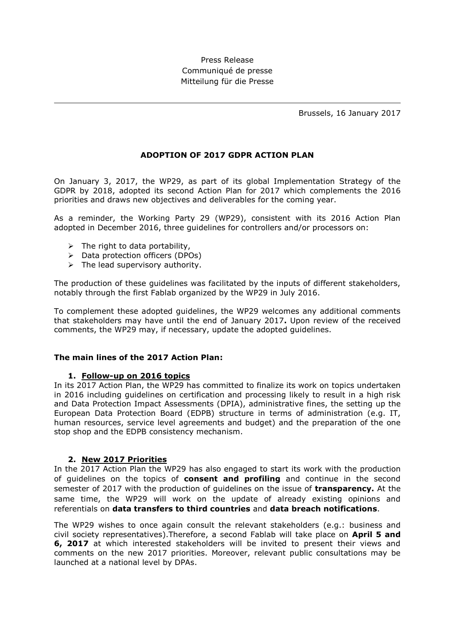# Press Release Communiqué de presse Mitteilung für die Presse

Brussels, 16 January 2017

## **ADOPTION OF 2017 GDPR ACTION PLAN**

On January 3, 2017, the WP29, as part of its global Implementation Strategy of the GDPR by 2018, adopted its second Action Plan for 2017 which complements the 2016 priorities and draws new objectives and deliverables for the coming year.

As a reminder, the Working Party 29 (WP29), consistent with its 2016 Action Plan adopted in December 2016, three guidelines for controllers and/or processors on:

- $\triangleright$  The right to data portability,
- > Data protection officers (DPOs)
- $\triangleright$  The lead supervisory authority.

The production of these guidelines was facilitated by the inputs of different stakeholders, notably through the first Fablab organized by the WP29 in July 2016.

To complement these adopted guidelines, the WP29 welcomes any additional comments that stakeholders may have until the end of January 2017**.** Upon review of the received comments, the WP29 may, if necessary, update the adopted guidelines.

#### **The main lines of the 2017 Action Plan:**

#### **1. Follow-up on 2016 topics**

In its 2017 Action Plan, the WP29 has committed to finalize its work on topics undertaken in 2016 including guidelines on certification and processing likely to result in a high risk and Data Protection Impact Assessments (DPIA), administrative fines, the setting up the European Data Protection Board (EDPB) structure in terms of administration (e.g. IT, human resources, service level agreements and budget) and the preparation of the one stop shop and the EDPB consistency mechanism.

## **2. New 2017 Priorities**

In the 2017 Action Plan the WP29 has also engaged to start its work with the production of guidelines on the topics of **consent and profiling** and continue in the second semester of 2017 with the production of guidelines on the issue of **transparency.** At the same time, the WP29 will work on the update of already existing opinions and referentials on **data transfers to third countries** and **data breach notifications**.

The WP29 wishes to once again consult the relevant stakeholders (e.g.: business and civil society representatives).Therefore, a second Fablab will take place on **April 5 and 6, 2017** at which interested stakeholders will be invited to present their views and comments on the new 2017 priorities. Moreover, relevant public consultations may be launched at a national level by DPAs.